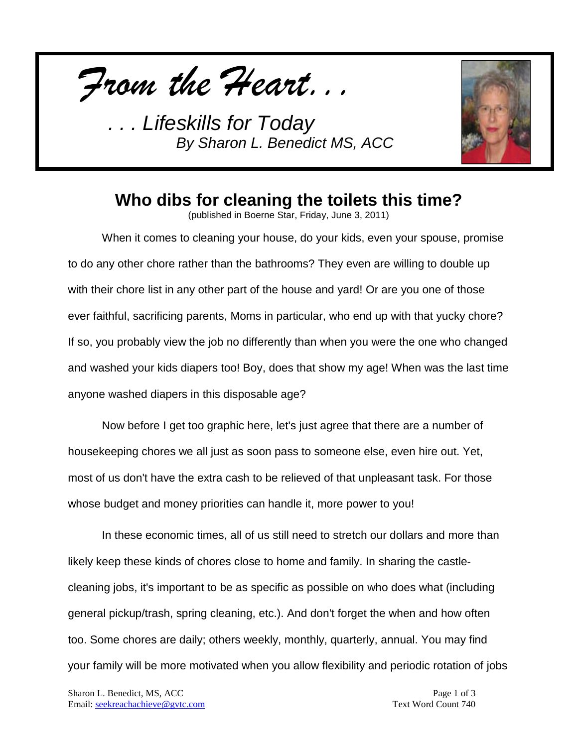*From the Heart...*



## **Who dibs for cleaning the toilets this time?**

(published in Boerne Star, Friday, June 3, 2011)

When it comes to cleaning your house, do your kids, even your spouse, promise to do any other chore rather than the bathrooms? They even are willing to double up with their chore list in any other part of the house and yard! Or are you one of those ever faithful, sacrificing parents, Moms in particular, who end up with that yucky chore? If so, you probably view the job no differently than when you were the one who changed and washed your kids diapers too! Boy, does that show my age! When was the last time anyone washed diapers in this disposable age?

Now before I get too graphic here, let's just agree that there are a number of housekeeping chores we all just as soon pass to someone else, even hire out. Yet, most of us don't have the extra cash to be relieved of that unpleasant task. For those whose budget and money priorities can handle it, more power to you!

In these economic times, all of us still need to stretch our dollars and more than likely keep these kinds of chores close to home and family. In sharing the castlecleaning jobs, it's important to be as specific as possible on who does what (including general pickup/trash, spring cleaning, etc.). And don't forget the when and how often too. Some chores are daily; others weekly, monthly, quarterly, annual. You may find your family will be more motivated when you allow flexibility and periodic rotation of jobs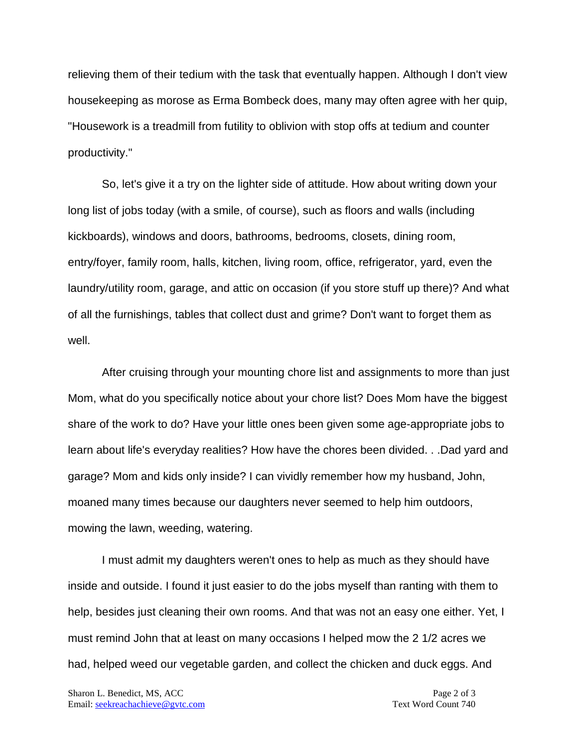relieving them of their tedium with the task that eventually happen. Although I don't view housekeeping as morose as Erma Bombeck does, many may often agree with her quip, "Housework is a treadmill from futility to oblivion with stop offs at tedium and counter productivity."

So, let's give it a try on the lighter side of attitude. How about writing down your long list of jobs today (with a smile, of course), such as floors and walls (including kickboards), windows and doors, bathrooms, bedrooms, closets, dining room, entry/foyer, family room, halls, kitchen, living room, office, refrigerator, yard, even the laundry/utility room, garage, and attic on occasion (if you store stuff up there)? And what of all the furnishings, tables that collect dust and grime? Don't want to forget them as well.

After cruising through your mounting chore list and assignments to more than just Mom, what do you specifically notice about your chore list? Does Mom have the biggest share of the work to do? Have your little ones been given some age-appropriate jobs to learn about life's everyday realities? How have the chores been divided. . .Dad yard and garage? Mom and kids only inside? I can vividly remember how my husband, John, moaned many times because our daughters never seemed to help him outdoors, mowing the lawn, weeding, watering.

I must admit my daughters weren't ones to help as much as they should have inside and outside. I found it just easier to do the jobs myself than ranting with them to help, besides just cleaning their own rooms. And that was not an easy one either. Yet, I must remind John that at least on many occasions I helped mow the 2 1/2 acres we had, helped weed our vegetable garden, and collect the chicken and duck eggs. And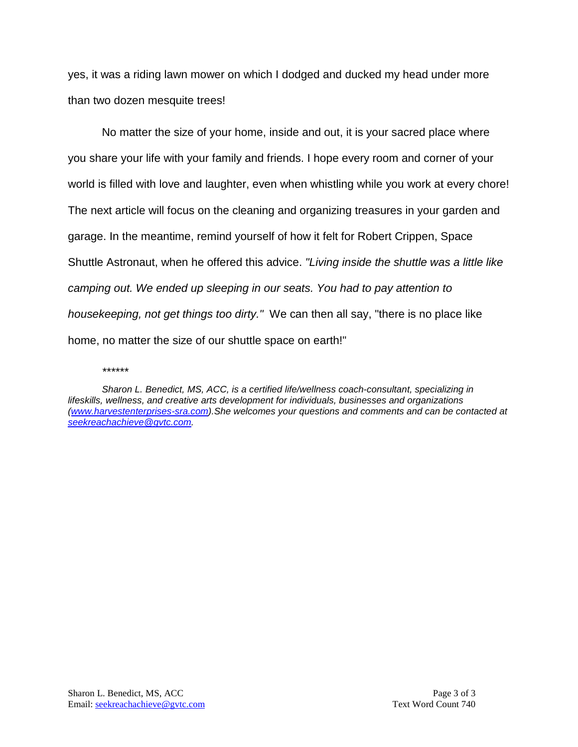yes, it was a riding lawn mower on which I dodged and ducked my head under more than two dozen mesquite trees!

No matter the size of your home, inside and out, it is your sacred place where you share your life with your family and friends. I hope every room and corner of your world is filled with love and laughter, even when whistling while you work at every chore! The next article will focus on the cleaning and organizing treasures in your garden and garage. In the meantime, remind yourself of how it felt for Robert Crippen, Space Shuttle Astronaut, when he offered this advice. *"Living inside the shuttle was a little like camping out. We ended up sleeping in our seats. You had to pay attention to housekeeping, not get things too dirty."* We can then all say, "there is no place like home, no matter the size of our shuttle space on earth!"

#### *\*\*\*\*\*\**

*Sharon L. Benedict, MS, ACC, is a certified life/wellness coach-consultant, specializing in lifeskills, wellness, and creative arts development for individuals, businesses and organizations [\(www.harvestenterprises-sra.com\)](http://www.harvestenterprises-sra.com/).She welcomes your questions and comments and can be contacted at [seekreachachieve@gvtc.com.](mailto:seekreachachieve@gvtc.com)*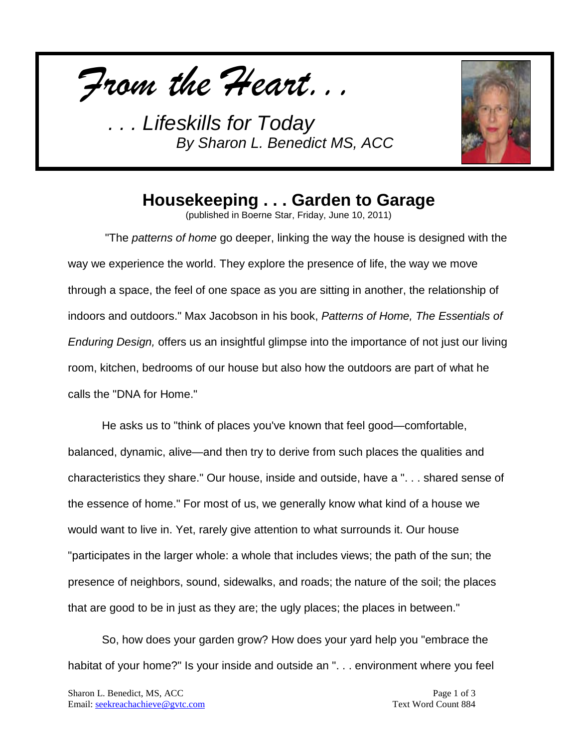*From the Heart...*



# **Housekeeping . . . Garden to Garage**

(published in Boerne Star, Friday, June 10, 2011)

"The *patterns of home* go deeper, linking the way the house is designed with the way we experience the world. They explore the presence of life, the way we move through a space, the feel of one space as you are sitting in another, the relationship of indoors and outdoors." Max Jacobson in his book, *Patterns of Home, The Essentials of Enduring Design,* offers us an insightful glimpse into the importance of not just our living room, kitchen, bedrooms of our house but also how the outdoors are part of what he calls the "DNA for Home."

He asks us to "think of places you've known that feel good—comfortable, balanced, dynamic, alive—and then try to derive from such places the qualities and characteristics they share." Our house, inside and outside, have a ". . . shared sense of the essence of home." For most of us, we generally know what kind of a house we would want to live in. Yet, rarely give attention to what surrounds it. Our house "participates in the larger whole: a whole that includes views; the path of the sun; the presence of neighbors, sound, sidewalks, and roads; the nature of the soil; the places that are good to be in just as they are; the ugly places; the places in between."

So, how does your garden grow? How does your yard help you "embrace the habitat of your home?" Is your inside and outside an "... environment where you feel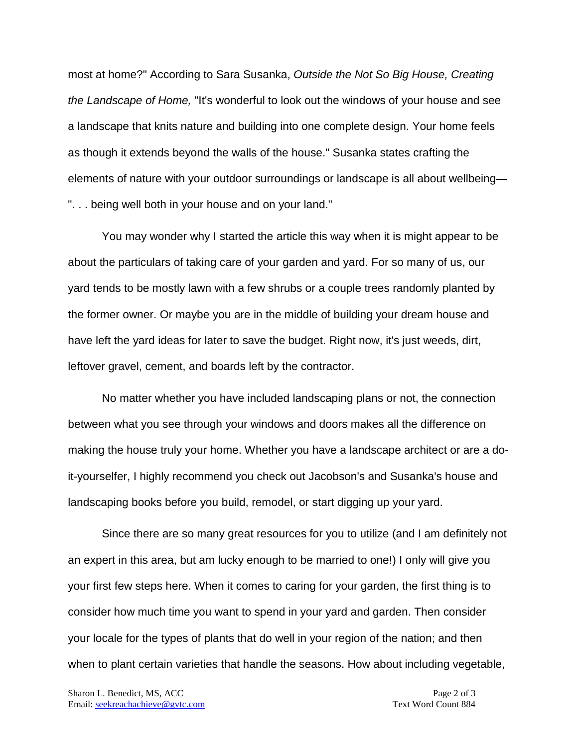most at home?" According to Sara Susanka, *Outside the Not So Big House, Creating the Landscape of Home,* "It's wonderful to look out the windows of your house and see a landscape that knits nature and building into one complete design. Your home feels as though it extends beyond the walls of the house." Susanka states crafting the elements of nature with your outdoor surroundings or landscape is all about wellbeing— ". . . being well both in your house and on your land."

You may wonder why I started the article this way when it is might appear to be about the particulars of taking care of your garden and yard. For so many of us, our yard tends to be mostly lawn with a few shrubs or a couple trees randomly planted by the former owner. Or maybe you are in the middle of building your dream house and have left the yard ideas for later to save the budget. Right now, it's just weeds, dirt, leftover gravel, cement, and boards left by the contractor.

No matter whether you have included landscaping plans or not, the connection between what you see through your windows and doors makes all the difference on making the house truly your home. Whether you have a landscape architect or are a doit-yourselfer, I highly recommend you check out Jacobson's and Susanka's house and landscaping books before you build, remodel, or start digging up your yard.

Since there are so many great resources for you to utilize (and I am definitely not an expert in this area, but am lucky enough to be married to one!) I only will give you your first few steps here. When it comes to caring for your garden, the first thing is to consider how much time you want to spend in your yard and garden. Then consider your locale for the types of plants that do well in your region of the nation; and then when to plant certain varieties that handle the seasons. How about including vegetable,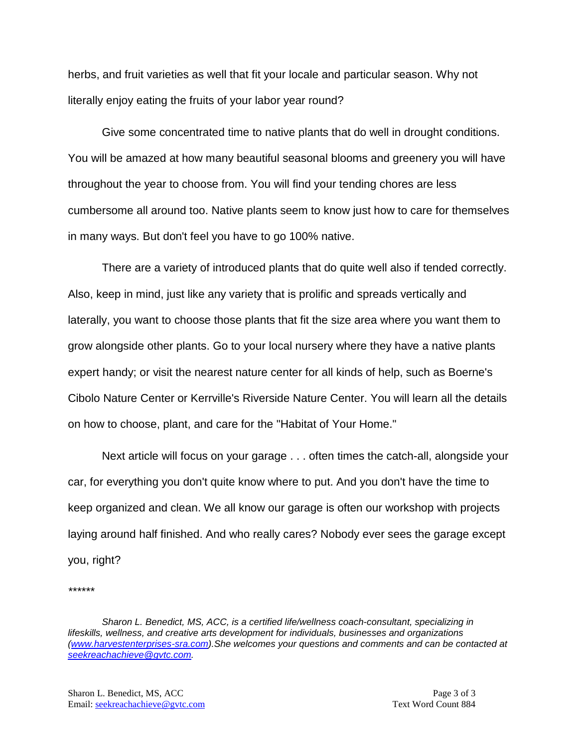herbs, and fruit varieties as well that fit your locale and particular season. Why not literally enjoy eating the fruits of your labor year round?

Give some concentrated time to native plants that do well in drought conditions. You will be amazed at how many beautiful seasonal blooms and greenery you will have throughout the year to choose from. You will find your tending chores are less cumbersome all around too. Native plants seem to know just how to care for themselves in many ways. But don't feel you have to go 100% native.

There are a variety of introduced plants that do quite well also if tended correctly. Also, keep in mind, just like any variety that is prolific and spreads vertically and laterally, you want to choose those plants that fit the size area where you want them to grow alongside other plants. Go to your local nursery where they have a native plants expert handy; or visit the nearest nature center for all kinds of help, such as Boerne's Cibolo Nature Center or Kerrville's Riverside Nature Center. You will learn all the details on how to choose, plant, and care for the "Habitat of Your Home."

Next article will focus on your garage . . . often times the catch-all, alongside your car, for everything you don't quite know where to put. And you don't have the time to keep organized and clean. We all know our garage is often our workshop with projects laying around half finished. And who really cares? Nobody ever sees the garage except you, right?

*\*\*\*\*\*\**

*Sharon L. Benedict, MS, ACC, is a certified life/wellness coach-consultant, specializing in lifeskills, wellness, and creative arts development for individuals, businesses and organizations [\(www.harvestenterprises-sra.com\)](http://www.harvestenterprises-sra.com/).She welcomes your questions and comments and can be contacted at [seekreachachieve@gvtc.com.](mailto:seekreachachieve@gvtc.com)*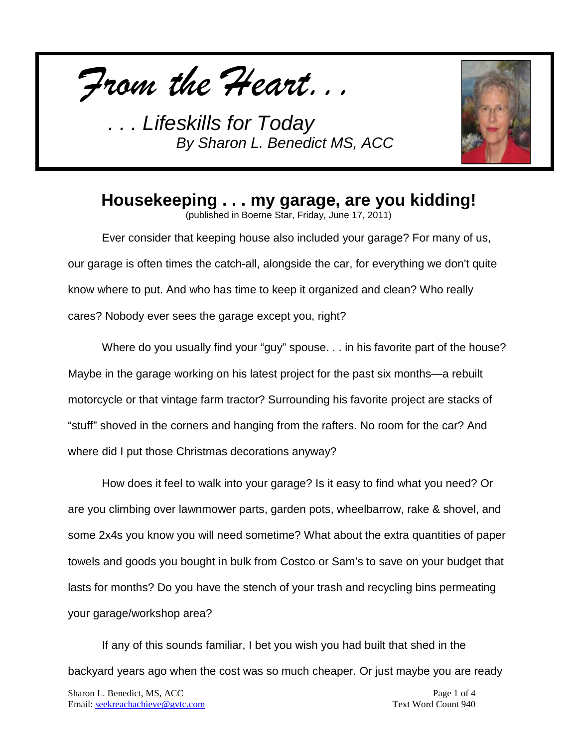*From the Heart...*



### **Housekeeping . . . my garage, are you kidding!**

(published in Boerne Star, Friday, June 17, 2011)

Ever consider that keeping house also included your garage? For many of us, our garage is often times the catch-all, alongside the car, for everything we don't quite know where to put. And who has time to keep it organized and clean? Who really cares? Nobody ever sees the garage except you, right?

Where do you usually find your "guy" spouse. . . in his favorite part of the house? Maybe in the garage working on his latest project for the past six months—a rebuilt motorcycle or that vintage farm tractor? Surrounding his favorite project are stacks of "stuff" shoved in the corners and hanging from the rafters. No room for the car? And where did I put those Christmas decorations anyway?

How does it feel to walk into your garage? Is it easy to find what you need? Or are you climbing over lawnmower parts, garden pots, wheelbarrow, rake & shovel, and some 2x4s you know you will need sometime? What about the extra quantities of paper towels and goods you bought in bulk from Costco or Sam's to save on your budget that lasts for months? Do you have the stench of your trash and recycling bins permeating your garage/workshop area?

If any of this sounds familiar, I bet you wish you had built that shed in the backyard years ago when the cost was so much cheaper. Or just maybe you are ready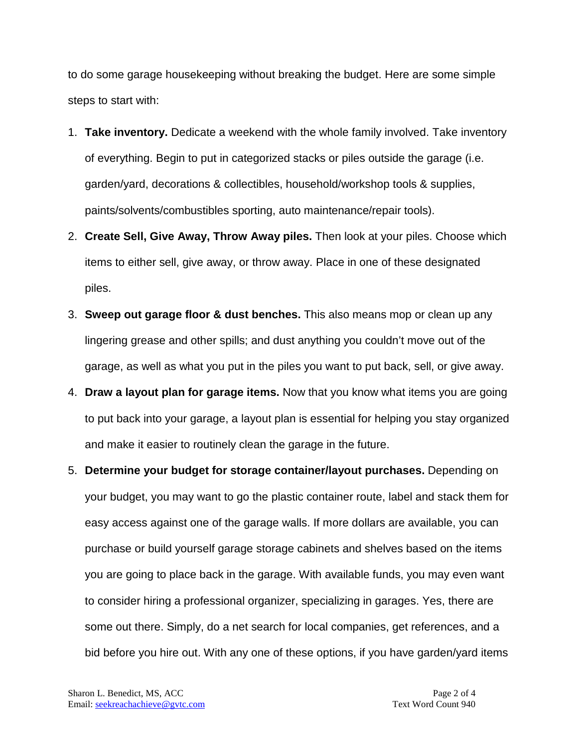to do some garage housekeeping without breaking the budget. Here are some simple steps to start with:

- 1. **Take inventory.** Dedicate a weekend with the whole family involved. Take inventory of everything. Begin to put in categorized stacks or piles outside the garage (i.e. garden/yard, decorations & collectibles, household/workshop tools & supplies, paints/solvents/combustibles sporting, auto maintenance/repair tools).
- 2. **Create Sell, Give Away, Throw Away piles.** Then look at your piles. Choose which items to either sell, give away, or throw away. Place in one of these designated piles.
- 3. **Sweep out garage floor & dust benches.** This also means mop or clean up any lingering grease and other spills; and dust anything you couldn't move out of the garage, as well as what you put in the piles you want to put back, sell, or give away.
- 4. **Draw a layout plan for garage items.** Now that you know what items you are going to put back into your garage, a layout plan is essential for helping you stay organized and make it easier to routinely clean the garage in the future.
- 5. **Determine your budget for storage container/layout purchases.** Depending on your budget, you may want to go the plastic container route, label and stack them for easy access against one of the garage walls. If more dollars are available, you can purchase or build yourself garage storage cabinets and shelves based on the items you are going to place back in the garage. With available funds, you may even want to consider hiring a professional organizer, specializing in garages. Yes, there are some out there. Simply, do a net search for local companies, get references, and a bid before you hire out. With any one of these options, if you have garden/yard items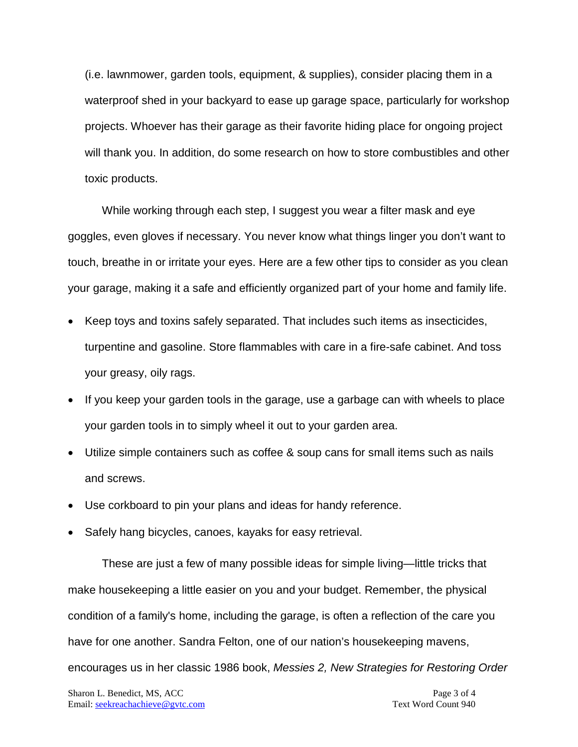(i.e. lawnmower, garden tools, equipment, & supplies), consider placing them in a waterproof shed in your backyard to ease up garage space, particularly for workshop projects. Whoever has their garage as their favorite hiding place for ongoing project will thank you. In addition, do some research on how to store combustibles and other toxic products.

While working through each step, I suggest you wear a filter mask and eye goggles, even gloves if necessary. You never know what things linger you don't want to touch, breathe in or irritate your eyes. Here are a few other tips to consider as you clean your garage, making it a safe and efficiently organized part of your home and family life.

- Keep toys and toxins safely separated. That includes such items as insecticides, turpentine and gasoline. Store flammables with care in a fire-safe cabinet. And toss your greasy, oily rags.
- If you keep your garden tools in the garage, use a garbage can with wheels to place your garden tools in to simply wheel it out to your garden area.
- Utilize simple containers such as coffee & soup cans for small items such as nails and screws.
- Use corkboard to pin your plans and ideas for handy reference.
- Safely hang bicycles, canoes, kayaks for easy retrieval.

These are just a few of many possible ideas for simple living—little tricks that make housekeeping a little easier on you and your budget. Remember, the physical condition of a family's home, including the garage, is often a reflection of the care you have for one another. Sandra Felton, one of our nation's housekeeping mavens, encourages us in her classic 1986 book, *Messies 2, New Strategies for Restoring Order*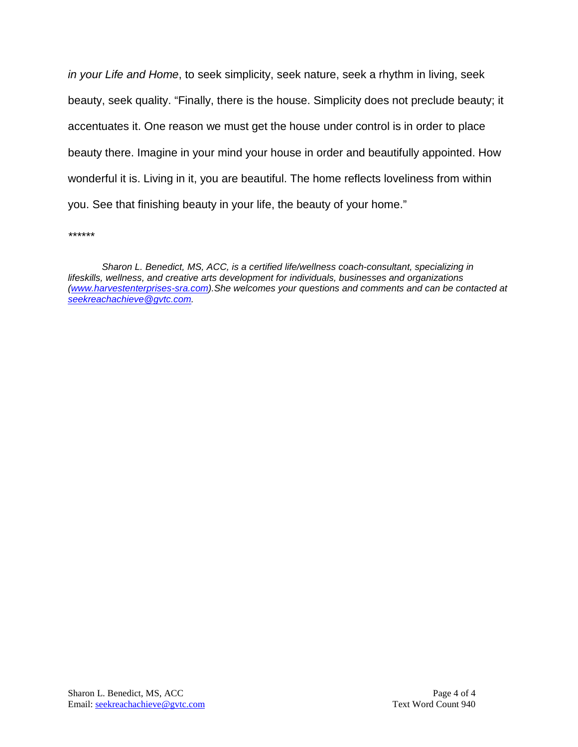*in your Life and Home*, to seek simplicity, seek nature, seek a rhythm in living, seek beauty, seek quality. "Finally, there is the house. Simplicity does not preclude beauty; it accentuates it. One reason we must get the house under control is in order to place beauty there. Imagine in your mind your house in order and beautifully appointed. How wonderful it is. Living in it, you are beautiful. The home reflects loveliness from within you. See that finishing beauty in your life, the beauty of your home."

*\*\*\*\*\*\**

*Sharon L. Benedict, MS, ACC, is a certified life/wellness coach-consultant, specializing in lifeskills, wellness, and creative arts development for individuals, businesses and organizations [\(www.harvestenterprises-sra.com\)](http://www.harvestenterprises-sra.com/).She welcomes your questions and comments and can be contacted at [seekreachachieve@gvtc.com.](mailto:seekreachachieve@gvtc.com)*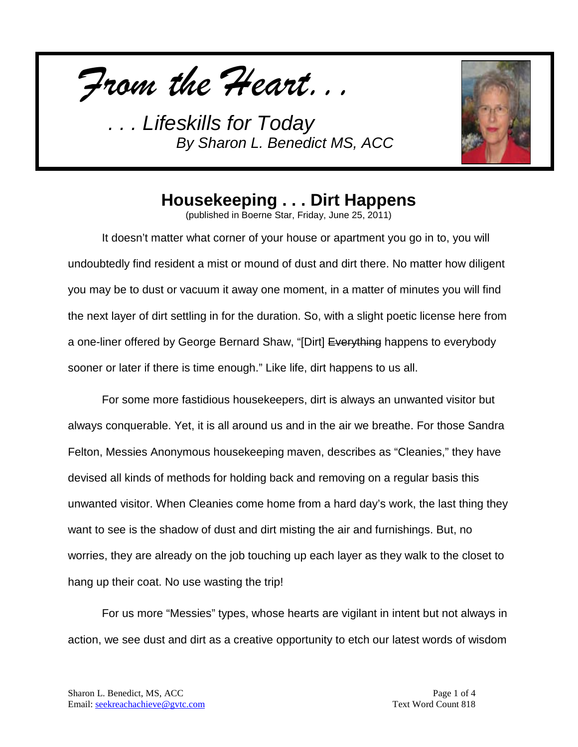*From the Heart...*



## **Housekeeping . . . Dirt Happens**

(published in Boerne Star, Friday, June 25, 2011)

It doesn't matter what corner of your house or apartment you go in to, you will undoubtedly find resident a mist or mound of dust and dirt there. No matter how diligent you may be to dust or vacuum it away one moment, in a matter of minutes you will find the next layer of dirt settling in for the duration. So, with a slight poetic license here from a one-liner offered by George Bernard Shaw, "[Dirt] <del>Everything</del> happens to everybody sooner or later if there is time enough." Like life, dirt happens to us all.

For some more fastidious housekeepers, dirt is always an unwanted visitor but always conquerable. Yet, it is all around us and in the air we breathe. For those Sandra Felton, Messies Anonymous housekeeping maven, describes as "Cleanies," they have devised all kinds of methods for holding back and removing on a regular basis this unwanted visitor. When Cleanies come home from a hard day's work, the last thing they want to see is the shadow of dust and dirt misting the air and furnishings. But, no worries, they are already on the job touching up each layer as they walk to the closet to hang up their coat. No use wasting the trip!

For us more "Messies" types, whose hearts are vigilant in intent but not always in action, we see dust and dirt as a creative opportunity to etch our latest words of wisdom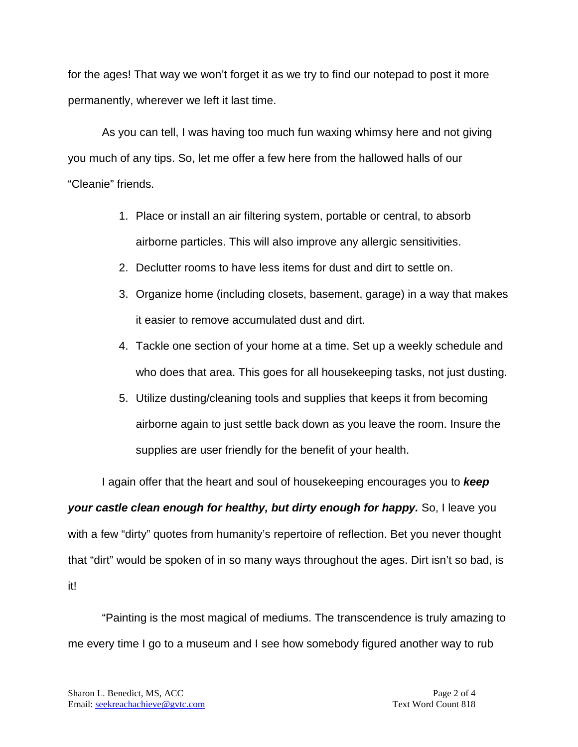for the ages! That way we won't forget it as we try to find our notepad to post it more permanently, wherever we left it last time.

As you can tell, I was having too much fun waxing whimsy here and not giving you much of any tips. So, let me offer a few here from the hallowed halls of our "Cleanie" friends.

- 1. Place or install an air filtering system, portable or central, to absorb airborne particles. This will also improve any allergic sensitivities.
- 2. Declutter rooms to have less items for dust and dirt to settle on.
- 3. Organize home (including closets, basement, garage) in a way that makes it easier to remove accumulated dust and dirt.
- 4. Tackle one section of your home at a time. Set up a weekly schedule and who does that area. This goes for all housekeeping tasks, not just dusting.
- 5. Utilize dusting/cleaning tools and supplies that keeps it from becoming airborne again to just settle back down as you leave the room. Insure the supplies are user friendly for the benefit of your health.

I again offer that the heart and soul of housekeeping encourages you to *keep your castle clean enough for healthy, but dirty enough for happy.* So, I leave you with a few "dirty" quotes from humanity's repertoire of reflection. Bet you never thought that "dirt" would be spoken of in so many ways throughout the ages. Dirt isn't so bad, is it!

"Painting is the most magical of mediums. The transcendence is truly amazing to me every time I go to a museum and I see how somebody figured another way to rub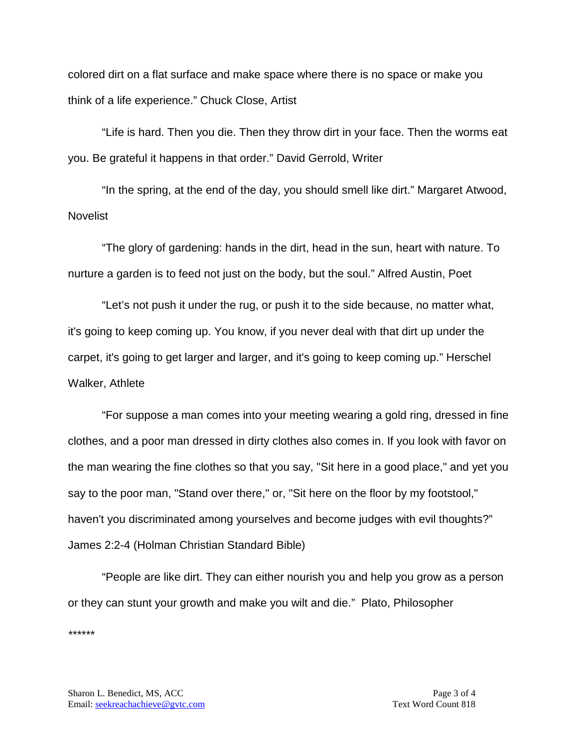colored dirt on a flat surface and make space where there is no space or make you think of a life experience." Chuck Close, Artist

"Life is hard. Then you die. Then they throw dirt in your face. Then the worms eat you. Be grateful it happens in that order." David Gerrold, Writer

"In the spring, at the end of the day, you should smell like dirt." Margaret Atwood, Novelist

"The glory of gardening: hands in the dirt, head in the sun, heart with nature. To nurture a garden is to feed not just on the body, but the soul." Alfred Austin, Poet

"Let's not push it under the rug, or push it to the side because, no matter what, it's going to keep coming up. You know, if you never deal with that dirt up under the carpet, it's going to get larger and larger, and it's going to keep coming up." Herschel Walker, Athlete

"For suppose a man comes into your meeting wearing a gold ring, dressed in fine clothes, and a poor man dressed in dirty clothes also comes in. If you look with favor on the man wearing the fine clothes so that you say, "Sit here in a good place," and yet you say to the poor man, "Stand over there," or, "Sit here on the floor by my footstool," haven't you discriminated among yourselves and become judges with evil thoughts?" James 2:2-4 (Holman Christian Standard Bible)

"People are like dirt. They can either nourish you and help you grow as a person or they can stunt your growth and make you wilt and die." Plato, Philosopher *\*\*\*\*\*\**